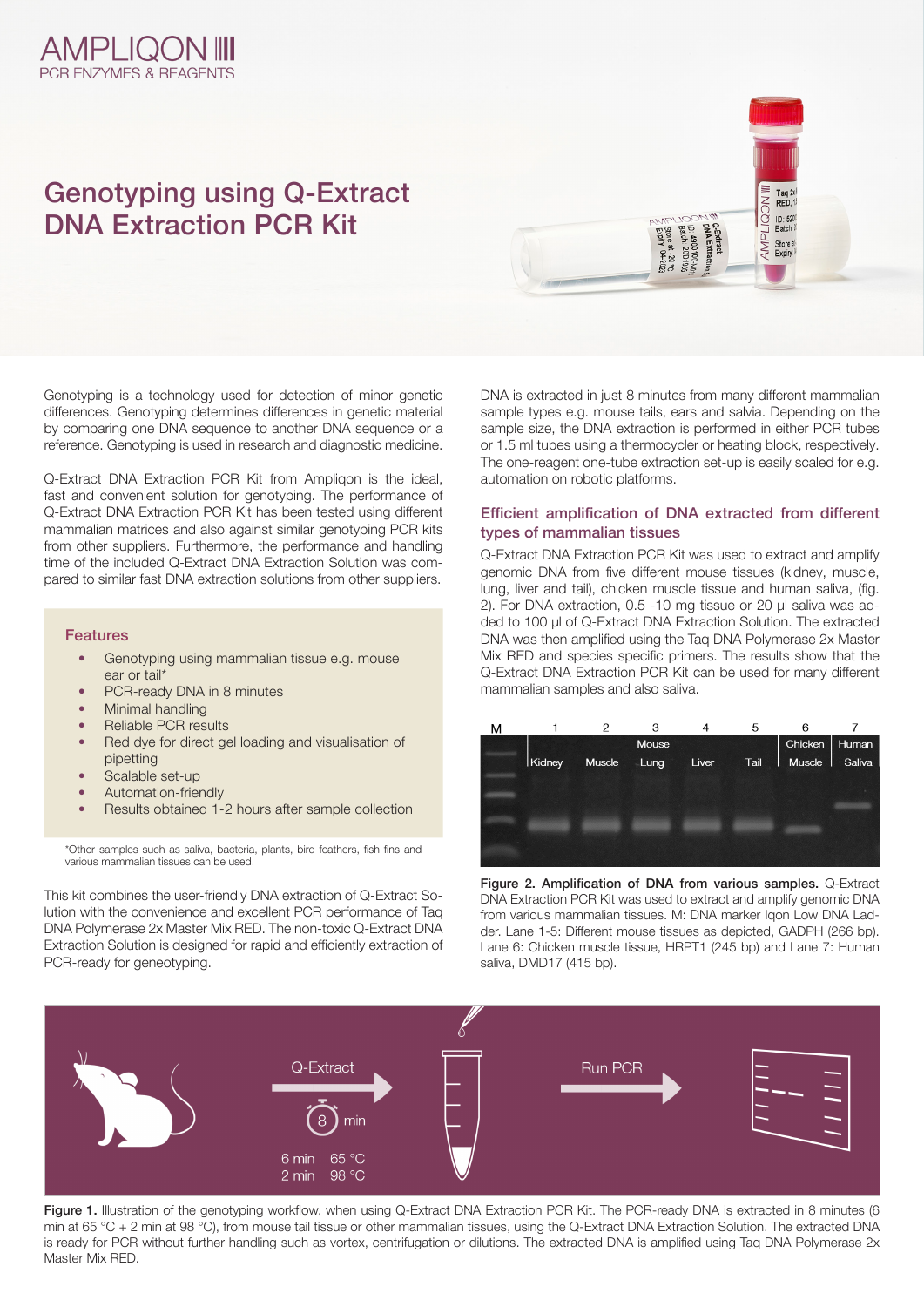### **AMPLIQON III PCR ENZYMES & REAGENTS**

# Genotyping using Q-Extract DNA Extraction PCR Kit

Genotyping is a technology used for detection of minor genetic differences. Genotyping determines differences in genetic material by comparing one DNA sequence to another DNA sequence or a reference. Genotyping is used in research and diagnostic medicine.

Q-Extract DNA Extraction PCR Kit from Ampliqon is the ideal, fast and convenient solution for genotyping. The performance of Q-Extract DNA Extraction PCR Kit has been tested using different mammalian matrices and also against similar genotyping PCR kits from other suppliers. Furthermore, the performance and handling time of the included Q-Extract DNA Extraction Solution was compared to similar fast DNA extraction solutions from other suppliers.

#### Features

- Genotyping using mammalian tissue e.g. mouse ear or tail\*
- PCR-ready DNA in 8 minutes
- Minimal handling
- Reliable PCR results
- Red dye for direct gel loading and visualisation of pipetting
- Scalable set-up
- Automation-friendly
- Results obtained 1-2 hours after sample collection

\*Other samples such as saliva, bacteria, plants, bird feathers, fish fins and various mammalian tissues can be used.

This kit combines the user-friendly DNA extraction of Q-Extract Solution with the convenience and excellent PCR performance of Taq DNA Polymerase 2x Master Mix RED. The non-toxic Q-Extract DNA Extraction Solution is designed for rapid and efficiently extraction of PCR-ready for geneotyping.

DNA is extracted in just 8 minutes from many different mammalian sample types e.g. mouse tails, ears and salvia. Depending on the sample size, the DNA extraction is performed in either PCR tubes or 1.5 ml tubes using a thermocycler or heating block, respectively. The one-reagent one-tube extraction set-up is easily scaled for e.g. automation on robotic platforms.

Store at -20 °C<br>Expiry: 04-2023

 $\frac{Taq}{RED}$  $ID: 520$ <br>Batch:  $i$ 

**THWY** Store at<br>Expiry.

#### Efficient amplification of DNA extracted from different types of mammalian tissues

Q-Extract DNA Extraction PCR Kit was used to extract and amplify genomic DNA from five different mouse tissues (kidney, muscle, lung, liver and tail), chicken muscle tissue and human saliva. (fig. 2). For DNA extraction, 0.5 -10 mg tissue or 20 ul saliva was added to 100 µl of Q-Extract DNA Extraction Solution. The extracted DNA was then amplified using the Taq DNA Polymerase 2x Master Mix RED and species specific primers. The results show that the Q-Extract DNA Extraction PCR Kit can be used for many different mammalian samples and also saliva.



Figure 2. Amplification of DNA from various samples. Q-Extract DNA Extraction PCR Kit was used to extract and amplify genomic DNA from various mammalian tissues. M: DNA marker Igon Low DNA Ladder. Lane 1-5: Different mouse tissues as depicted, GADPH (266 bp). Lane 6: Chicken muscle tissue, HRPT1 (245 bp) and Lane 7: Human saliva, DMD17 (415 bp).



Figure 1. Illustration of the genotyping workflow, when using Q-Extract DNA Extraction PCR Kit. The PCR-ready DNA is extracted in 8 minutes (6 min at 65 °C + 2 min at 98 °C), from mouse tail tissue or other mammalian tissues, using the Q-Extract DNA Extraction Solution. The extracted DNA is ready for PCR without further handling such as vortex, centrifugation or dilutions. The extracted DNA is amplified using Taq DNA Polymerase 2x Master Mix RED.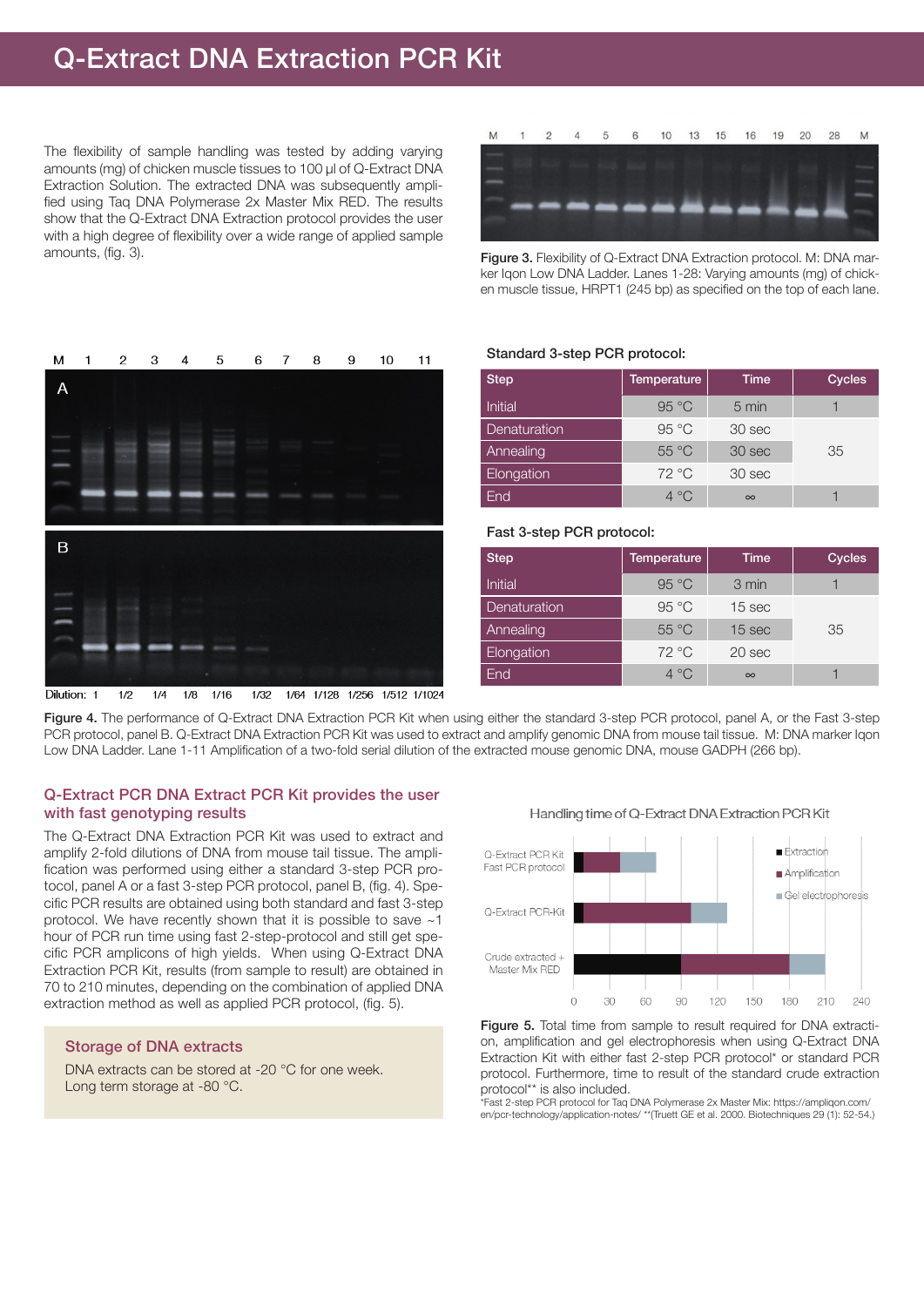### Q-Extract DNA Extraction PCR Kit

The flexibility of sample handling was tested by adding varying amounts (mg) of chicken muscle tissues to 100 µl of Q-Extract DNA Extraction Solution. The extracted DNA was subsequently amplified using Taq DNA Polymerase 2x Master Mix RED. The results show that the Q-Extract DNA Extraction protocol provides the user with a high degree of flexibility over a wide range of applied sample amounts, (fig. 3).

5

6  $\overline{7}$  8

9

 $10$ 

 $11$ 

M

 $\overline{1}$ 

 $\mathcal{D}$ 

3

 $\boldsymbol{\Lambda}$ 



Figure 3. Flexibility of Q-Extract DNA Extraction protocol. M: DNA marker Iqon Low DNA Ladder. Lanes 1-28: Varying amounts (mg) of chicken muscle tissue, HRPT1 (245 bp) as specified on the top of each lane.

#### Standard 3-step PCR protocol:

| <b>Step</b>             | Temperature    | <b>Time</b> | <b>Cycles</b> |
|-------------------------|----------------|-------------|---------------|
| Initial                 | 95 °C          | 5 min       |               |
| Denaturation            | 95 °C          | 30 sec      |               |
| Annealing               | $55^{\circ}$ C | 30 sec      | 35            |
| Elongation <sup>'</sup> | $72^{\circ}$ C | 30 sec      |               |
| End                     | $4^{\circ}$ C  | $\infty$    |               |

#### Fast 3-step PCR protocol:

| <b>Step</b>    | <b>Temperature</b> | Time              | <b>Cycles</b> |
|----------------|--------------------|-------------------|---------------|
| <b>Initial</b> | 95 °C              | 3 min             |               |
| Denaturation   | 95 °C              | 15 sec            |               |
| Annealing      | $55^{\circ}$ C     | 15 sec            | 35            |
| Elongation     | $72^{\circ}$ C     | 20 <sub>sec</sub> |               |
| End            | $4^{\circ}$ C      | $\infty$          |               |

Figure 4. The performance of Q-Extract DNA Extraction PCR Kit when using either the standard 3-step PCR protocol, panel A, or the Fast 3-step PCR protocol, panel B. Q-Extract DNA Extraction PCR Kit was used to extract and amplify genomic DNA from mouse tail tissue. M: DNA marker Iqon Low DNA Ladder. Lane 1-11 Amplification of a two-fold serial dilution of the extracted mouse genomic DNA, mouse GADPH (266 bp).

#### Q-Extract PCR DNA Extract PCR Kit provides the user with fast genotyping results

The Q-Extract DNA Extraction PCR Kit was used to extract and amplify 2-fold dilutions of DNA from mouse tail tissue. The amplification was performed using either a standard 3-step PCR protocol, panel A or a fast 3-step PCR protocol, panel B, (fig. 4). Specific PCR results are obtained using both standard and fast 3-step protocol. We have recently shown that it is possible to save ~1 hour of PCR run time using fast 2-step-protocol and still get specific PCR amplicons of high yields. When using Q-Extract DNA Extraction PCR Kit, results (from sample to result) are obtained in 70 to 210 minutes, depending on the combination of applied DNA extraction method as well as applied PCR protocol, (fig. 5).

#### Storage of DNA extracts

DNA extracts can be stored at -20 °C for one week. Long term storage at -80 °C.



Handling time of Q-Extract DNA Extraction PCR Kit

Figure 5. Total time from sample to result required for DNA extraction, amplification and gel electrophoresis when using Q-Extract DNA Extraction Kit with either fast 2-step PCR protocol\* or standard PCR protocol. Furthermore, time to result of the standard crude extraction protocol\*\* is also included.

\*Fast 2-step PCR protocol for Taq DNA Polymerase 2x Master Mix: https://ampliqon.com/ en/pcr-technology/application-notes/ \*\*(Truett GE et al. 2000. Biotechniques 29 (1): 52-54.)



1/64 1/128 1/256 1/512 1/1024 Dilution: 1  $1/2$  $1/4$  $1/B$  $1/16$ 1/32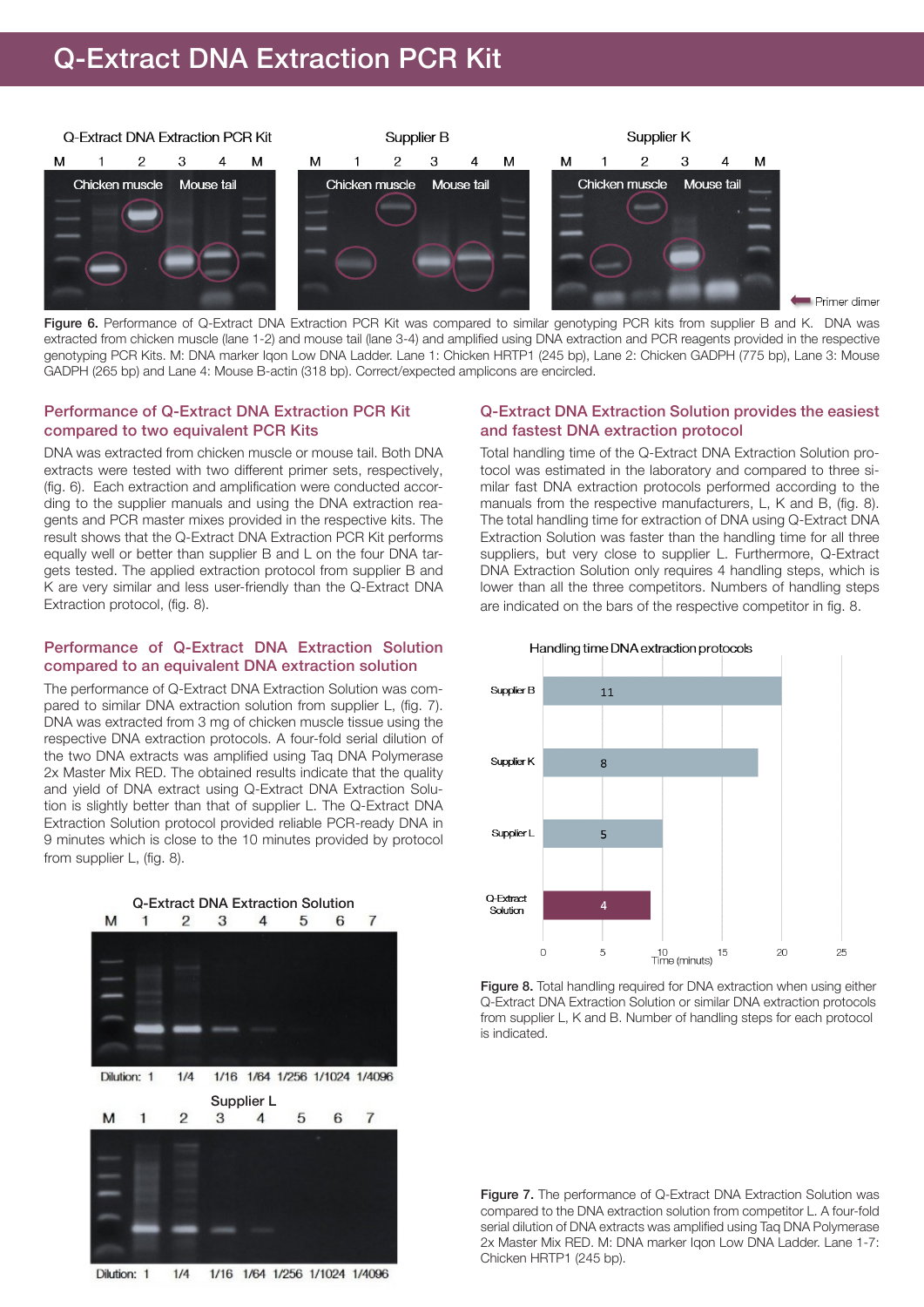## Q-Extract DNA Extraction PCR Kit



Primer dimer

Figure 6. Performance of Q-Extract DNA Extraction PCR Kit was compared to similar genotyping PCR kits from supplier B and K. DNA was extracted from chicken muscle (lane 1-2) and mouse tail (lane 3-4) and amplified using DNA extraction and PCR reagents provided in the respective genotyping PCR Kits. M: DNA marker Iqon Low DNA Ladder. Lane 1: Chicken HRTP1 (245 bp), Lane 2: Chicken GADPH (775 bp), Lane 3: Mouse GADPH (265 bp) and Lane 4: Mouse B-actin (318 bp). Correct/expected amplicons are encircled.

#### Performance of Q-Extract DNA Extraction PCR Kit compared to two equivalent PCR Kits

DNA was extracted from chicken muscle or mouse tail. Both DNA extracts were tested with two different primer sets, respectively, (fig. 6). Each extraction and amplification were conducted according to the supplier manuals and using the DNA extraction reagents and PCR master mixes provided in the respective kits. The result shows that the Q-Extract DNA Extraction PCR Kit performs equally well or better than supplier B and L on the four DNA targets tested. The applied extraction protocol from supplier B and K are very similar and less user-friendly than the Q-Extract DNA Extraction protocol, (fig. 8).

#### Performance of Q-Extract DNA Extraction Solution compared to an equivalent DNA extraction solution

The performance of Q-Extract DNA Extraction Solution was compared to similar DNA extraction solution from supplier L, (fig. 7). DNA was extracted from 3 mg of chicken muscle tissue using the respective DNA extraction protocols. A four-fold serial dilution of the two DNA extracts was amplified using Taq DNA Polymerase 2x Master Mix RED. The obtained results indicate that the quality and yield of DNA extract using Q-Extract DNA Extraction Solution is slightly better than that of supplier L. The Q-Extract DNA Extraction Solution protocol provided reliable PCR-ready DNA in 9 minutes which is close to the 10 minutes provided by protocol from supplier L, (fig. 8).



1/16 1/64 1/256 1/1024 1/4096 Dilution: 1  $1/4$ 

#### Q-Extract DNA Extraction Solution provides the easiest and fastest DNA extraction protocol

Total handling time of the Q-Extract DNA Extraction Solution protocol was estimated in the laboratory and compared to three similar fast DNA extraction protocols performed according to the manuals from the respective manufacturers, L, K and B, (fig. 8). The total handling time for extraction of DNA using Q-Extract DNA Extraction Solution was faster than the handling time for all three suppliers, but very close to supplier L. Furthermore, Q-Extract DNA Extraction Solution only requires 4 handling steps, which is lower than all the three competitors. Numbers of handling steps are indicated on the bars of the respective competitor in fig. 8.



Figure 8. Total handling required for DNA extraction when using either Q-Extract DNA Extraction Solution or similar DNA extraction protocols from supplier L, K and B. Number of handling steps for each protocol is indicated.

Figure 7. The performance of Q-Extract DNA Extraction Solution was compared to the DNA extraction solution from competitor L. A four-fold serial dilution of DNA extracts was amplified using Taq DNA Polymerase 2x Master Mix RED. M: DNA marker Iqon Low DNA Ladder. Lane 1-7: Chicken HRTP1 (245 bp).